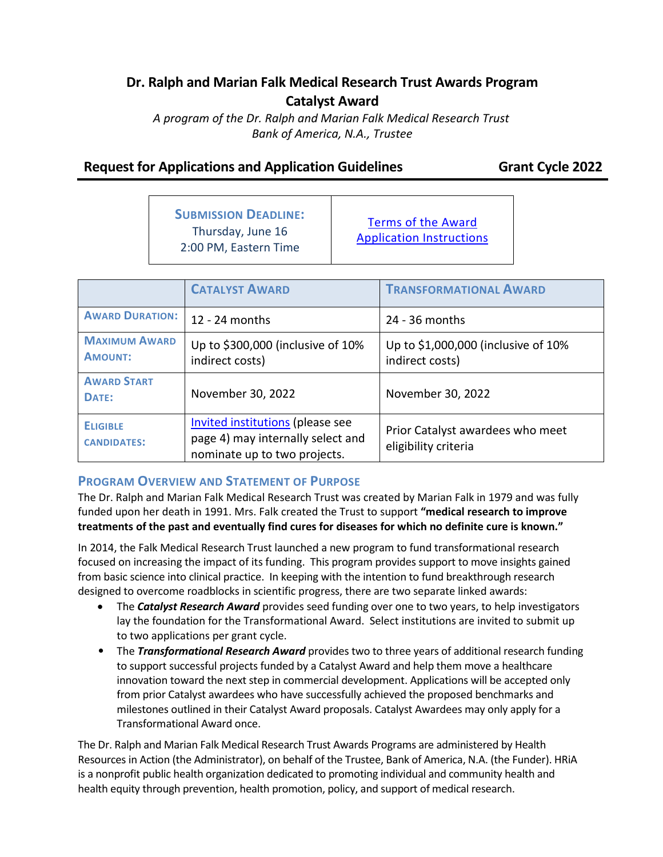# **Dr. Ralph and Marian Falk Medical Research Trust Awards Program Catalyst Award**

*A program of the Dr. Ralph and Marian Falk Medical Research Trust Bank of America, N.A., Trustee*

# **Request for Applications and Application Guidelines Grant Cycle 2022**

| <b>SUBMISSION DEADLINE:</b> |
|-----------------------------|
| Thursday, June 16           |
| 2:00 PM, Eastern Time       |

[Terms of the Award](#page-6-0) [Application Instructions](#page-11-0)

|                                        | <b>CATALYST AWARD</b>                                                                                        | <b>TRANSFORMATIONAL AWARD</b>                            |  |  |
|----------------------------------------|--------------------------------------------------------------------------------------------------------------|----------------------------------------------------------|--|--|
| <b>AWARD DURATION:</b>                 | 12 - 24 months                                                                                               | 24 - 36 months                                           |  |  |
| <b>MAXIMUM AWARD</b><br><b>AMOUNT:</b> | Up to \$300,000 (inclusive of 10%<br>indirect costs)                                                         | Up to \$1,000,000 (inclusive of 10%<br>indirect costs)   |  |  |
| <b>AWARD START</b><br>DATE:            | November 30, 2022                                                                                            | November 30, 2022                                        |  |  |
| <b>ELIGIBLE</b><br><b>CANDIDATES:</b>  | <b>Invited institutions (please see</b><br>page 4) may internally select and<br>nominate up to two projects. | Prior Catalyst awardees who meet<br>eligibility criteria |  |  |

## **PROGRAM OVERVIEW AND STATEMENT OF PURPOSE**

The Dr. Ralph and Marian Falk Medical Research Trust was created by Marian Falk in 1979 and was fully funded upon her death in 1991. Mrs. Falk created the Trust to support **"medical research to improve treatments of the past and eventually find cures for diseases for which no definite cure is known."**

In 2014, the Falk Medical Research Trust launched a new program to fund transformational research focused on increasing the impact of its funding. This program provides support to move insights gained from basic science into clinical practice. In keeping with the intention to fund breakthrough research designed to overcome roadblocks in scientific progress, there are two separate linked awards:

- The *Catalyst Research Award* provides seed funding over one to two years, to help investigators lay the foundation for the Transformational Award. Select institutions are invited to submit up to two applications per grant cycle.
- The *Transformational Research Award* provides two to three years of additional research funding to support successful projects funded by a Catalyst Award and help them move a healthcare innovation toward the next step in commercial development. Applications will be accepted only from prior Catalyst awardees who have successfully achieved the proposed benchmarks and milestones outlined in their Catalyst Award proposals. Catalyst Awardees may only apply for a Transformational Award once.

The Dr. Ralph and Marian Falk Medical Research Trust Awards Programs are administered by Health Resources in Action (the Administrator), on behalf of the Trustee, Bank of America, N.A. (the Funder). HRiA is a nonprofit public health organization dedicated to promoting individual and community health and health equity through prevention, health promotion, policy, and support of medical research.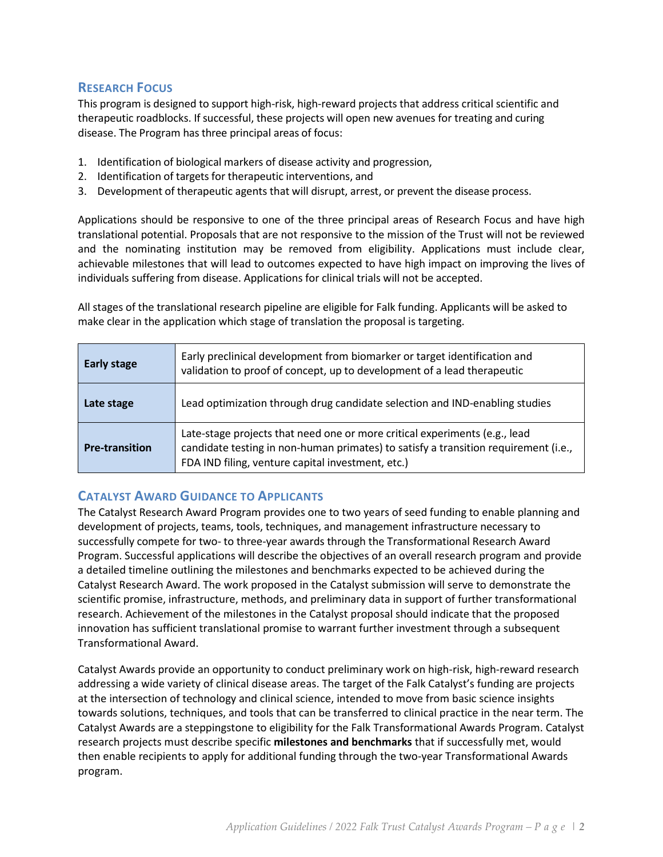## **RESEARCH FOCUS**

This program is designed to support high-risk, high-reward projects that address critical scientific and therapeutic roadblocks. If successful, these projects will open new avenues for treating and curing disease. The Program has three principal areas of focus:

- 1. Identification of biological markers of disease activity and progression,
- 2. Identification of targets for therapeutic interventions, and
- 3. Development of therapeutic agents that will disrupt, arrest, or prevent the disease process.

Applications should be responsive to one of the three principal areas of Research Focus and have high translational potential. Proposals that are not responsive to the mission of the Trust will not be reviewed and the nominating institution may be removed from eligibility. Applications must include clear, achievable milestones that will lead to outcomes expected to have high impact on improving the lives of individuals suffering from disease. Applications for clinical trials will not be accepted.

All stages of the translational research pipeline are eligible for Falk funding. Applicants will be asked to make clear in the application which stage of translation the proposal is targeting.

| <b>Early stage</b>    | Early preclinical development from biomarker or target identification and<br>validation to proof of concept, up to development of a lead therapeutic                                                                   |  |  |  |
|-----------------------|------------------------------------------------------------------------------------------------------------------------------------------------------------------------------------------------------------------------|--|--|--|
| Late stage            | Lead optimization through drug candidate selection and IND-enabling studies                                                                                                                                            |  |  |  |
| <b>Pre-transition</b> | Late-stage projects that need one or more critical experiments (e.g., lead<br>candidate testing in non-human primates) to satisfy a transition requirement (i.e.,<br>FDA IND filing, venture capital investment, etc.) |  |  |  |

## **CATALYST AWARD GUIDANCE TO APPLICANTS**

The Catalyst Research Award Program provides one to two years of seed funding to enable planning and development of projects, teams, tools, techniques, and management infrastructure necessary to successfully compete for two- to three-year awards through the Transformational Research Award Program. Successful applications will describe the objectives of an overall research program and provide a detailed timeline outlining the milestones and benchmarks expected to be achieved during the Catalyst Research Award. The work proposed in the Catalyst submission will serve to demonstrate the scientific promise, infrastructure, methods, and preliminary data in support of further transformational research. Achievement of the milestones in the Catalyst proposal should indicate that the proposed innovation has sufficient translational promise to warrant further investment through a subsequent Transformational Award.

Catalyst Awards provide an opportunity to conduct preliminary work on high-risk, high-reward research addressing a wide variety of clinical disease areas. The target of the Falk Catalyst's funding are projects at the intersection of technology and clinical science, intended to move from basic science insights towards solutions, techniques, and tools that can be transferred to clinical practice in the near term. The Catalyst Awards are a steppingstone to eligibility for the Falk Transformational Awards Program. Catalyst research projects must describe specific **milestones and benchmarks** that if successfully met, would then enable recipients to apply for additional funding through the two-year Transformational Awards program.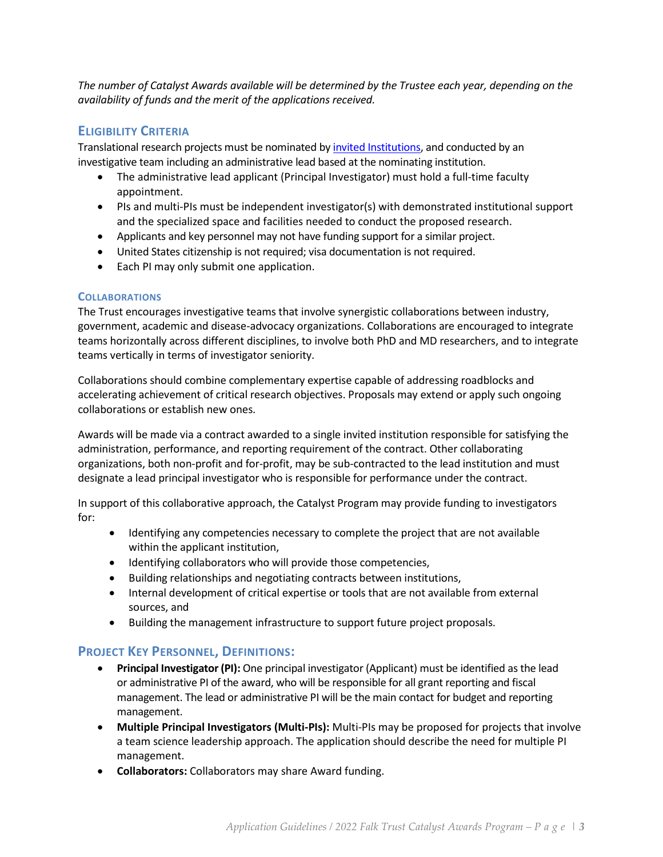*The number of Catalyst Awards available will be determined by the Trustee each year, depending on the availability of funds and the merit of the applications received.*

## **ELIGIBILITY CRITERIA**

Translational research projects must be nominated b[y invited Institutions,](#page-3-0) and conducted by an investigative team including an administrative lead based at the nominating institution.

- The administrative lead applicant (Principal Investigator) must hold a full-time faculty appointment.
- PIs and multi-PIs must be independent investigator(s) with demonstrated institutional support and the specialized space and facilities needed to conduct the proposed research.
- Applicants and key personnel may not have funding support for a similar project.
- United States citizenship is not required; visa documentation is not required.
- Each PI may only submit one application.

## **COLLABORATIONS**

The Trust encourages investigative teams that involve synergistic collaborations between industry, government, academic and disease-advocacy organizations. Collaborations are encouraged to integrate teams horizontally across different disciplines, to involve both PhD and MD researchers, and to integrate teams vertically in terms of investigator seniority.

Collaborations should combine complementary expertise capable of addressing roadblocks and accelerating achievement of critical research objectives. Proposals may extend or apply such ongoing collaborations or establish new ones.

Awards will be made via a contract awarded to a single invited institution responsible for satisfying the administration, performance, and reporting requirement of the contract. Other collaborating organizations, both non-profit and for-profit, may be sub-contracted to the lead institution and must designate a lead principal investigator who is responsible for performance under the contract.

In support of this collaborative approach, the Catalyst Program may provide funding to investigators for:

- Identifying any competencies necessary to complete the project that are not available within the applicant institution,
- Identifying collaborators who will provide those competencies,
- Building relationships and negotiating contracts between institutions,
- Internal development of critical expertise or tools that are not available from external sources, and
- Building the management infrastructure to support future project proposals.

## **PROJECT KEY PERSONNEL, DEFINITIONS:**

- **Principal Investigator (PI):** One principal investigator (Applicant) must be identified as the lead or administrative PI of the award, who will be responsible for all grant reporting and fiscal management. The lead or administrative PI will be the main contact for budget and reporting management.
- **Multiple Principal Investigators (Multi-PIs):** Multi-PIs may be proposed for projects that involve a team science leadership approach. The application should describe the need for multiple PI management.
- **Collaborators:** Collaborators may share Award funding.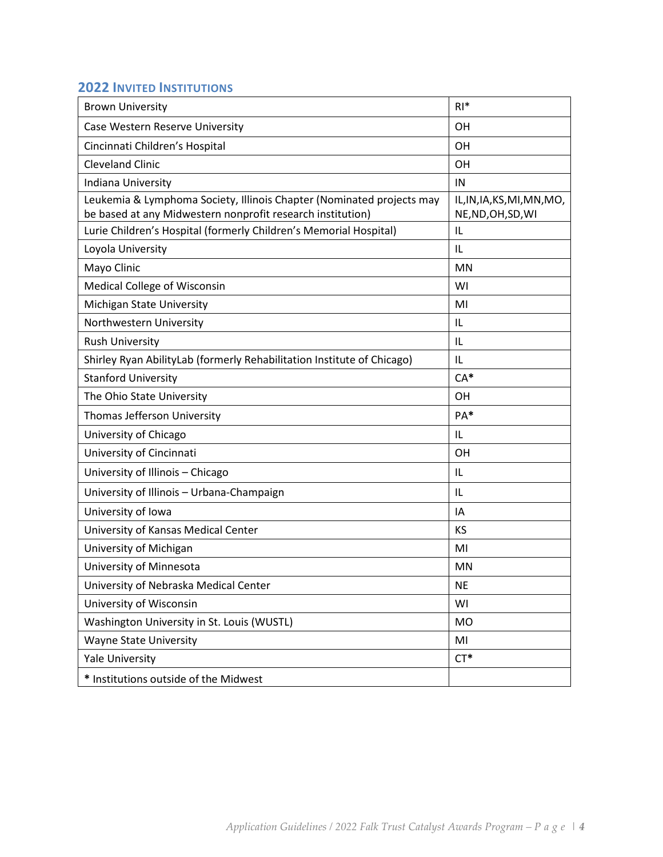# <span id="page-3-0"></span>**2022 INVITED INSTITUTIONS**

| <b>Brown University</b>                                                                                                             | $RI*$                                             |
|-------------------------------------------------------------------------------------------------------------------------------------|---------------------------------------------------|
| Case Western Reserve University                                                                                                     | OH                                                |
| Cincinnati Children's Hospital                                                                                                      | OH                                                |
| <b>Cleveland Clinic</b>                                                                                                             | <b>OH</b>                                         |
| Indiana University                                                                                                                  | IN                                                |
| Leukemia & Lymphoma Society, Illinois Chapter (Nominated projects may<br>be based at any Midwestern nonprofit research institution) | IL, IN, IA, KS, MI, MN, MO,<br>NE, ND, OH, SD, WI |
| Lurie Children's Hospital (formerly Children's Memorial Hospital)                                                                   | L                                                 |
| Loyola University                                                                                                                   | L                                                 |
| Mayo Clinic                                                                                                                         | <b>MN</b>                                         |
| Medical College of Wisconsin                                                                                                        | WI                                                |
| Michigan State University                                                                                                           | MI                                                |
| Northwestern University                                                                                                             | IL                                                |
| <b>Rush University</b>                                                                                                              | L                                                 |
| Shirley Ryan AbilityLab (formerly Rehabilitation Institute of Chicago)                                                              | IL                                                |
| <b>Stanford University</b>                                                                                                          | $CA*$                                             |
| The Ohio State University                                                                                                           | <b>OH</b>                                         |
| Thomas Jefferson University                                                                                                         | PA*                                               |
| University of Chicago                                                                                                               | IL                                                |
| University of Cincinnati                                                                                                            | <b>OH</b>                                         |
| University of Illinois - Chicago                                                                                                    | L                                                 |
| University of Illinois - Urbana-Champaign                                                                                           | IL                                                |
| University of Iowa                                                                                                                  | IA                                                |
| University of Kansas Medical Center                                                                                                 | ΚS                                                |
| University of Michigan                                                                                                              | MI                                                |
| University of Minnesota                                                                                                             | MN                                                |
| University of Nebraska Medical Center                                                                                               | ΝE                                                |
| University of Wisconsin                                                                                                             | WI                                                |
| Washington University in St. Louis (WUSTL)                                                                                          | <b>MO</b>                                         |
| <b>Wayne State University</b>                                                                                                       | MI                                                |
| <b>Yale University</b>                                                                                                              | $CT^*$                                            |
| * Institutions outside of the Midwest                                                                                               |                                                   |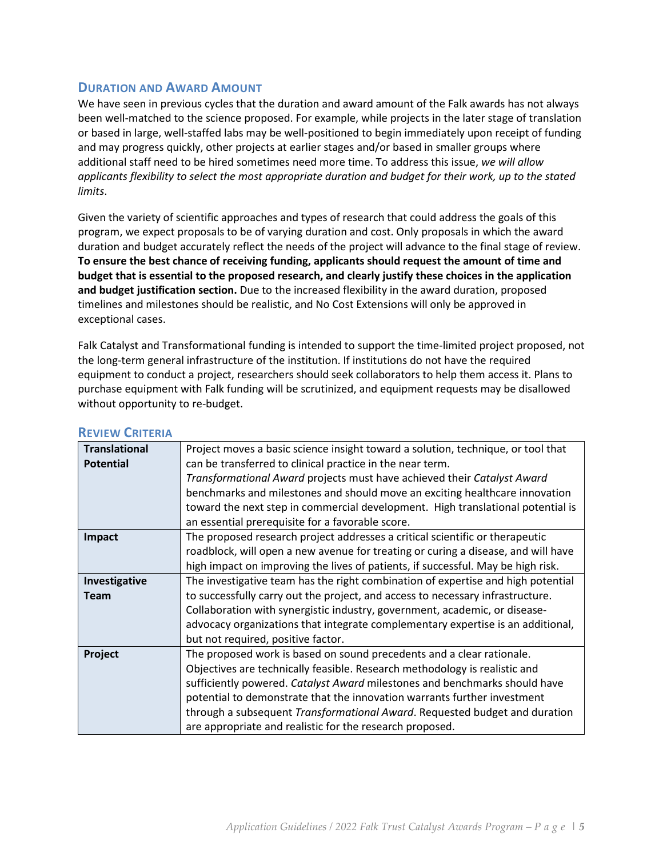## **DURATION AND AWARD AMOUNT**

We have seen in previous cycles that the duration and award amount of the Falk awards has not always been well-matched to the science proposed. For example, while projects in the later stage of translation or based in large, well-staffed labs may be well-positioned to begin immediately upon receipt of funding and may progress quickly, other projects at earlier stages and/or based in smaller groups where additional staff need to be hired sometimes need more time. To address this issue, *we will allow applicants flexibility to select the most appropriate duration and budget for their work, up to the stated limits*.

Given the variety of scientific approaches and types of research that could address the goals of this program, we expect proposals to be of varying duration and cost. Only proposals in which the award duration and budget accurately reflect the needs of the project will advance to the final stage of review. **To ensure the best chance of receiving funding, applicants should request the amount of time and budget that is essential to the proposed research, and clearly justify these choices in the application and budget justification section.** Due to the increased flexibility in the award duration, proposed timelines and milestones should be realistic, and No Cost Extensions will only be approved in exceptional cases.

Falk Catalyst and Transformational funding is intended to support the time-limited project proposed, not the long-term general infrastructure of the institution. If institutions do not have the required equipment to conduct a project, researchers should seek collaborators to help them access it. Plans to purchase equipment with Falk funding will be scrutinized, and equipment requests may be disallowed without opportunity to re-budget.

| <b>Translational</b> | Project moves a basic science insight toward a solution, technique, or tool that  |  |  |  |  |
|----------------------|-----------------------------------------------------------------------------------|--|--|--|--|
| <b>Potential</b>     | can be transferred to clinical practice in the near term.                         |  |  |  |  |
|                      | Transformational Award projects must have achieved their Catalyst Award           |  |  |  |  |
|                      | benchmarks and milestones and should move an exciting healthcare innovation       |  |  |  |  |
|                      | toward the next step in commercial development. High translational potential is   |  |  |  |  |
|                      | an essential prerequisite for a favorable score.                                  |  |  |  |  |
| Impact               | The proposed research project addresses a critical scientific or therapeutic      |  |  |  |  |
|                      | roadblock, will open a new avenue for treating or curing a disease, and will have |  |  |  |  |
|                      | high impact on improving the lives of patients, if successful. May be high risk.  |  |  |  |  |
| Investigative        | The investigative team has the right combination of expertise and high potential  |  |  |  |  |
| <b>Team</b>          | to successfully carry out the project, and access to necessary infrastructure.    |  |  |  |  |
|                      | Collaboration with synergistic industry, government, academic, or disease-        |  |  |  |  |
|                      | advocacy organizations that integrate complementary expertise is an additional,   |  |  |  |  |
|                      | but not required, positive factor.                                                |  |  |  |  |
| Project              | The proposed work is based on sound precedents and a clear rationale.             |  |  |  |  |
|                      | Objectives are technically feasible. Research methodology is realistic and        |  |  |  |  |
|                      | sufficiently powered. Catalyst Award milestones and benchmarks should have        |  |  |  |  |
|                      | potential to demonstrate that the innovation warrants further investment          |  |  |  |  |
|                      | through a subsequent Transformational Award. Requested budget and duration        |  |  |  |  |
|                      | are appropriate and realistic for the research proposed.                          |  |  |  |  |

### **REVIEW CRITERIA**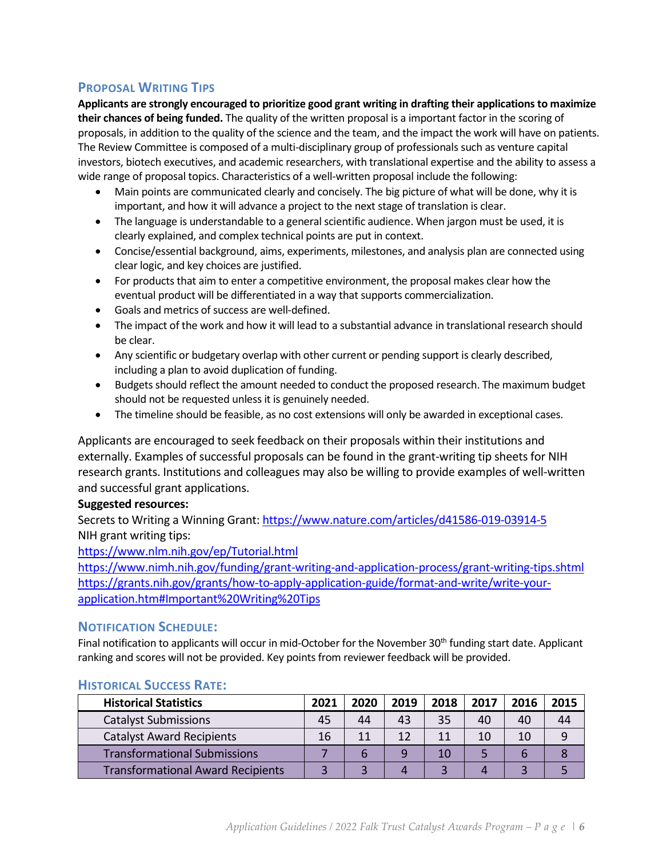## **PROPOSAL WRITING TIPS**

**Applicants are strongly encouraged to prioritize good grant writing in drafting their applications to maximize their chances of being funded.** The quality of the written proposal is a important factor in the scoring of proposals, in addition to the quality of the science and the team, and the impact the work will have on patients. The Review Committee is composed of a multi-disciplinary group of professionals such as venture capital investors, biotech executives, and academic researchers, with translational expertise and the ability to assess a wide range of proposal topics. Characteristics of a well-written proposal include the following:

- Main points are communicated clearly and concisely. The big picture of what will be done, why it is important, and how it will advance a project to the next stage of translation is clear.
- The language is understandable to a general scientific audience. When jargon must be used, it is clearly explained, and complex technical points are put in context.
- Concise/essential background, aims, experiments, milestones, and analysis plan are connected using clear logic, and key choices are justified.
- For products that aim to enter a competitive environment, the proposal makes clear how the eventual product will be differentiated in a way that supports commercialization.
- Goals and metrics of success are well-defined.
- The impact of the work and how it will lead to a substantial advance in translational research should be clear.
- Any scientific or budgetary overlap with other current or pending support is clearly described, including a plan to avoid duplication of funding.
- Budgets should reflect the amount needed to conduct the proposed research. The maximum budget should not be requested unless it is genuinely needed.
- The timeline should be feasible, as no cost extensions will only be awarded in exceptional cases.

Applicants are encouraged to seek feedback on their proposals within their institutions and externally. Examples of successful proposals can be found in the grant-writing tip sheets for NIH research grants. Institutions and colleagues may also be willing to provide examples of well-written and successful grant applications.

## **Suggested resources:**

Secrets to Writing a Winning Grant[: https://www.nature.com/articles/d41586-019-03914-5](https://www.nature.com/articles/d41586-019-03914-5) NIH grant writing tips:

<https://www.nlm.nih.gov/ep/Tutorial.html>

<https://www.nimh.nih.gov/funding/grant-writing-and-application-process/grant-writing-tips.shtml> [https://grants.nih.gov/grants/how-to-apply-application-guide/format-and-write/write-your](https://grants.nih.gov/grants/how-to-apply-application-guide/format-and-write/write-your-application.htm#Important%20Writing%20Tips)[application.htm#Important%20Writing%20Tips](https://grants.nih.gov/grants/how-to-apply-application-guide/format-and-write/write-your-application.htm#Important%20Writing%20Tips)

## **NOTIFICATION SCHEDULE:**

Final notification to applicants will occur in mid-October for the November 30<sup>th</sup> funding start date. Applicant ranking and scores will not be provided. Key points from reviewer feedback will be provided.

| <b>Historical Statistics</b>             |  | 2020 | 2019 | 2018 | 2017 | 2016 | 2015 |
|------------------------------------------|--|------|------|------|------|------|------|
| <b>Catalyst Submissions</b>              |  | 44   | 43   | 35   | 40   | 40   | 44   |
| <b>Catalyst Award Recipients</b>         |  | 11   | 12   | 11   | 10   | 10   |      |
| <b>Transformational Submissions</b>      |  |      |      | 10   |      |      |      |
| <b>Transformational Award Recipients</b> |  |      |      |      |      |      |      |

## **HISTORICAL SUCCESS RATE:**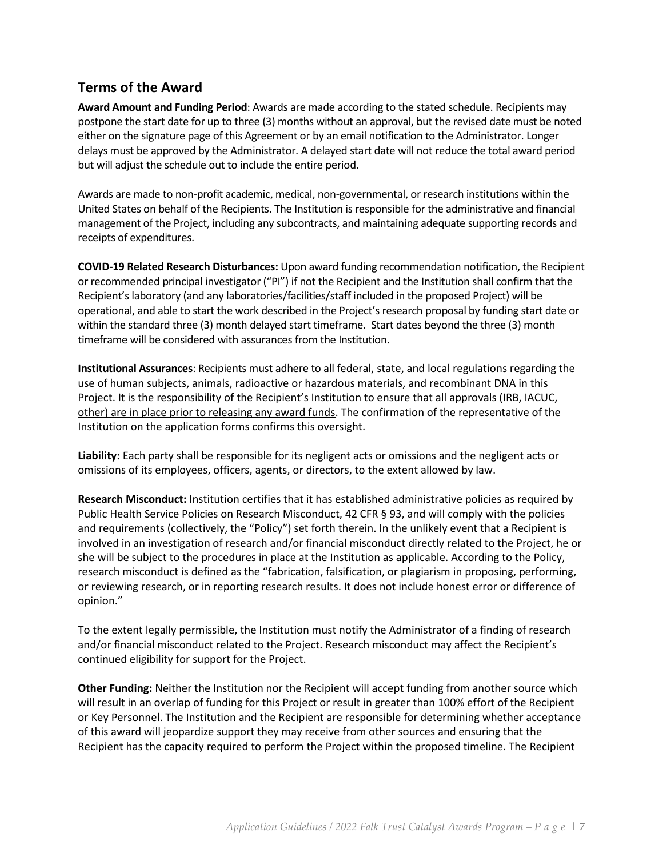# <span id="page-6-0"></span>**Terms of the Award**

**Award Amount and Funding Period**: Awards are made according to the stated schedule. Recipients may postpone the start date for up to three (3) months without an approval, but the revised date must be noted either on the signature page of this Agreement or by an email notification to the Administrator. Longer delays must be approved by the Administrator. A delayed start date will not reduce the total award period but will adjust the schedule out to include the entire period.

Awards are made to non-profit academic, medical, non-governmental, or research institutions within the United States on behalf of the Recipients. The Institution is responsible for the administrative and financial management of the Project, including any subcontracts, and maintaining adequate supporting records and receipts of expenditures.

**COVID-19 Related Research Disturbances:** Upon award funding recommendation notification, the Recipient or recommended principal investigator ("PI") if not the Recipient and the Institution shall confirm that the Recipient's laboratory (and any laboratories/facilities/staff included in the proposed Project) will be operational, and able to start the work described in the Project's research proposal by funding start date or within the standard three (3) month delayed start timeframe. Start dates beyond the three (3) month timeframe will be considered with assurances from the Institution.

**Institutional Assurances**: Recipients must adhere to all federal, state, and local regulations regarding the use of human subjects, animals, radioactive or hazardous materials, and recombinant DNA in this Project. It is the responsibility of the Recipient's Institution to ensure that all approvals (IRB, IACUC, other) are in place prior to releasing any award funds. The confirmation of the representative of the Institution on the application forms confirms this oversight.

**Liability:** Each party shall be responsible for its negligent acts or omissions and the negligent acts or omissions of its employees, officers, agents, or directors, to the extent allowed by law.

**Research Misconduct:** Institution certifies that it has established administrative policies as required by Public Health Service Policies on Research Misconduct, 42 CFR § 93, and will comply with the policies and requirements (collectively, the "Policy") set forth therein. In the unlikely event that a Recipient is involved in an investigation of research and/or financial misconduct directly related to the Project, he or she will be subject to the procedures in place at the Institution as applicable. According to the Policy, research misconduct is defined as the "fabrication, falsification, or plagiarism in proposing, performing, or reviewing research, or in reporting research results. It does not include honest error or difference of opinion."

To the extent legally permissible, the Institution must notify the Administrator of a finding of research and/or financial misconduct related to the Project. Research misconduct may affect the Recipient's continued eligibility for support for the Project.

**Other Funding:** Neither the Institution nor the Recipient will accept funding from another source which will result in an overlap of funding for this Project or result in greater than 100% effort of the Recipient or Key Personnel. The Institution and the Recipient are responsible for determining whether acceptance of this award will jeopardize support they may receive from other sources and ensuring that the Recipient has the capacity required to perform the Project within the proposed timeline. The Recipient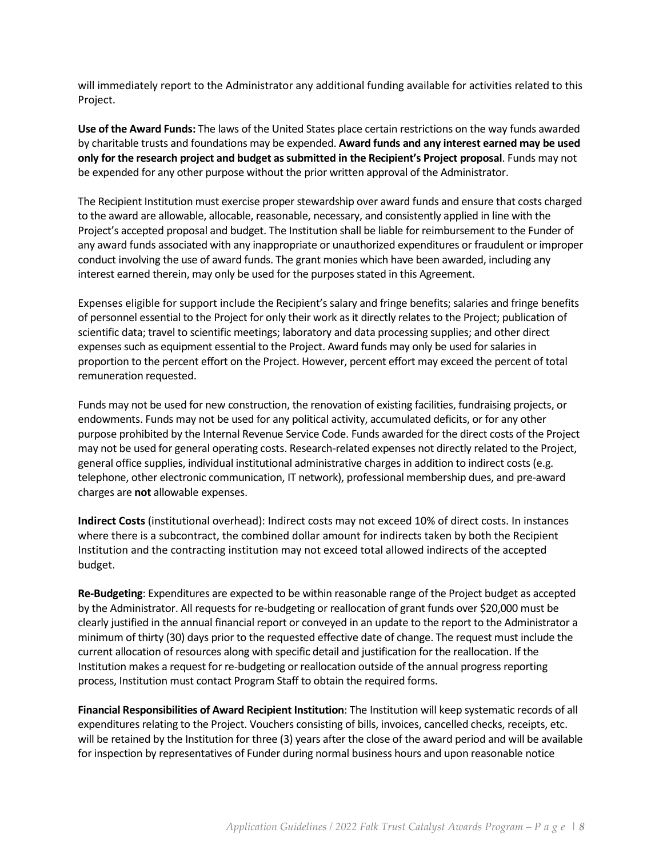will immediately report to the Administrator any additional funding available for activities related to this Project.

**Use of the Award Funds:** The laws of the United States place certain restrictions on the way funds awarded by charitable trusts and foundations may be expended. **Award funds and any interest earned may be used only for the research project and budget as submitted in the Recipient's Project proposal**. Funds may not be expended for any other purpose without the prior written approval of the Administrator.

The Recipient Institution must exercise proper stewardship over award funds and ensure that costs charged to the award are allowable, allocable, reasonable, necessary, and consistently applied in line with the Project's accepted proposal and budget. The Institution shall be liable for reimbursement to the Funder of any award funds associated with any inappropriate or unauthorized expenditures or fraudulent or improper conduct involving the use of award funds. The grant monies which have been awarded, including any interest earned therein, may only be used for the purposes stated in this Agreement.

Expenses eligible for support include the Recipient's salary and fringe benefits; salaries and fringe benefits of personnel essential to the Project for only their work as it directly relates to the Project; publication of scientific data; travel to scientific meetings; laboratory and data processing supplies; and other direct expenses such as equipment essential to the Project. Award funds may only be used for salaries in proportion to the percent effort on the Project. However, percent effort may exceed the percent of total remuneration requested.

Funds may not be used for new construction, the renovation of existing facilities, fundraising projects, or endowments. Funds may not be used for any political activity, accumulated deficits, or for any other purpose prohibited by the Internal Revenue Service Code. Funds awarded for the direct costs of the Project may not be used for general operating costs. Research-related expenses not directly related to the Project, general office supplies, individual institutional administrative charges in addition to indirect costs (e.g. telephone, other electronic communication, IT network), professional membership dues, and pre-award charges are **not** allowable expenses.

**Indirect Costs** (institutional overhead): Indirect costs may not exceed 10% of direct costs. In instances where there is a subcontract, the combined dollar amount for indirects taken by both the Recipient Institution and the contracting institution may not exceed total allowed indirects of the accepted budget.

**Re-Budgeting**: Expenditures are expected to be within reasonable range of the Project budget as accepted by the Administrator. All requests for re-budgeting or reallocation of grant funds over \$20,000 must be clearly justified in the annual financial report or conveyed in an update to the report to the Administrator a minimum of thirty (30) days prior to the requested effective date of change. The request must include the current allocation of resources along with specific detail and justification for the reallocation. If the Institution makes a request for re-budgeting or reallocation outside of the annual progress reporting process, Institution must contact Program Staff to obtain the required forms.

**Financial Responsibilities of Award Recipient Institution**: The Institution will keep systematic records of all expenditures relating to the Project. Vouchers consisting of bills, invoices, cancelled checks, receipts, etc. will be retained by the Institution for three (3) years after the close of the award period and will be available for inspection by representatives of Funder during normal business hours and upon reasonable notice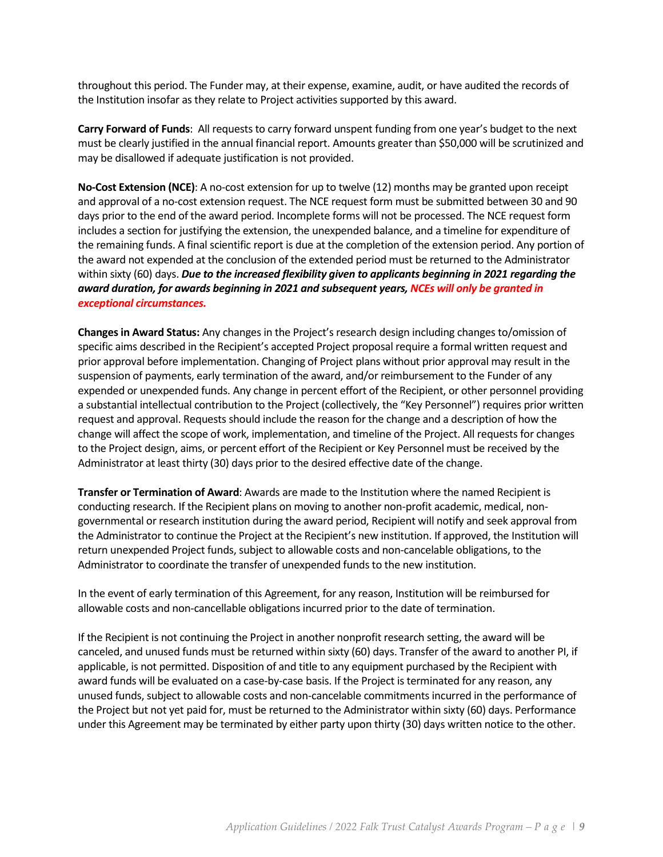throughout this period. The Funder may, at their expense, examine, audit, or have audited the records of the Institution insofar as they relate to Project activities supported by this award.

**Carry Forward of Funds**: All requests to carry forward unspent funding from one year's budget to the next must be clearly justified in the annual financial report. Amounts greater than \$50,000 will be scrutinized and may be disallowed if adequate justification is not provided.

**No-Cost Extension (NCE)**: A no-cost extension for up to twelve (12) months may be granted upon receipt and approval of a no-cost extension request. The NCE request form must be submitted between 30 and 90 days prior to the end of the award period. Incomplete forms will not be processed. The NCE request form includes a section for justifying the extension, the unexpended balance, and a timeline for expenditure of the remaining funds. A final scientific report is due at the completion of the extension period. Any portion of the award not expended at the conclusion of the extended period must be returned to the Administrator within sixty (60) days. *Due to the increased flexibility given to applicants beginning in 2021 regarding the award duration, for awards beginning in 2021 and subsequent years, NCEs will only be granted in exceptional circumstances.*

**Changes in Award Status:** Any changes in the Project's research design including changes to/omission of specific aims described in the Recipient's accepted Project proposal require a formal written request and prior approval before implementation. Changing of Project plans without prior approval may result in the suspension of payments, early termination of the award, and/or reimbursement to the Funder of any expended or unexpended funds. Any change in percent effort of the Recipient, or other personnel providing a substantial intellectual contribution to the Project (collectively, the "Key Personnel") requires prior written request and approval. Requests should include the reason for the change and a description of how the change will affect the scope of work, implementation, and timeline of the Project. All requests for changes to the Project design, aims, or percent effort of the Recipient or Key Personnel must be received by the Administrator at least thirty (30) days prior to the desired effective date of the change.

**Transfer or Termination of Award**: Awards are made to the Institution where the named Recipient is conducting research. If the Recipient plans on moving to another non-profit academic, medical, nongovernmental or research institution during the award period, Recipient will notify and seek approval from the Administrator to continue the Project at the Recipient's new institution. If approved, the Institution will return unexpended Project funds, subject to allowable costs and non-cancelable obligations, to the Administrator to coordinate the transfer of unexpended funds to the new institution.

In the event of early termination of this Agreement, for any reason, Institution will be reimbursed for allowable costs and non-cancellable obligations incurred prior to the date of termination.

If the Recipient is not continuing the Project in another nonprofit research setting, the award will be canceled, and unused funds must be returned within sixty (60) days. Transfer of the award to another PI, if applicable, is not permitted. Disposition of and title to any equipment purchased by the Recipient with award funds will be evaluated on a case-by-case basis. If the Project is terminated for any reason, any unused funds, subject to allowable costs and non-cancelable commitments incurred in the performance of the Project but not yet paid for, must be returned to the Administrator within sixty (60) days. Performance under this Agreement may be terminated by either party upon thirty (30) days written notice to the other.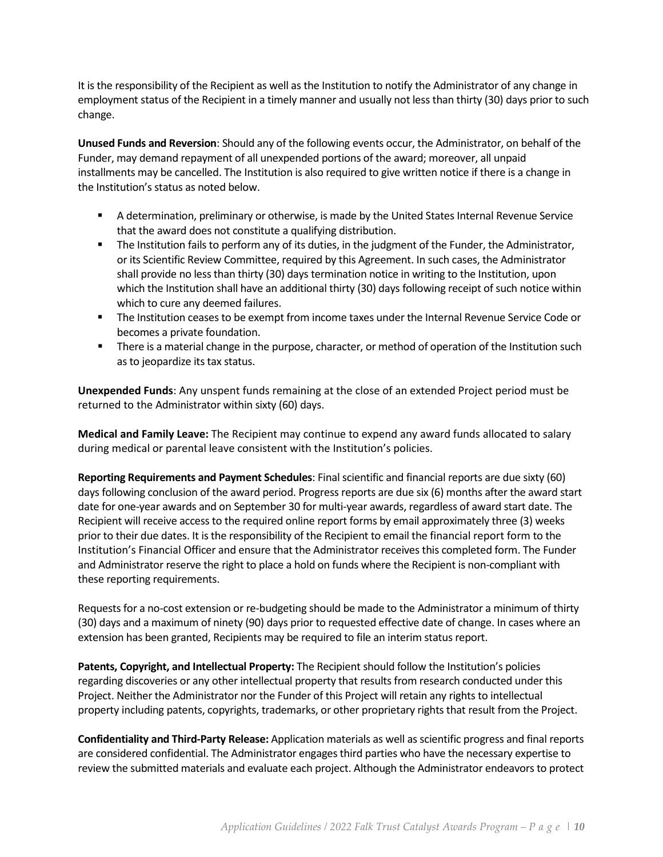It is the responsibility of the Recipient as well as the Institution to notify the Administrator of any change in employment status of the Recipient in a timely manner and usually not less than thirty (30) days prior to such change.

**Unused Funds and Reversion**: Should any of the following events occur, the Administrator, on behalf of the Funder, may demand repayment of all unexpended portions of the award; moreover, all unpaid installments may be cancelled. The Institution is also required to give written notice if there is a change in the Institution's status as noted below.

- A determination, preliminary or otherwise, is made by the United States Internal Revenue Service that the award does not constitute a qualifying distribution.
- **The Institution fails to perform any of its duties, in the judgment of the Funder, the Administrator,** or its Scientific Review Committee, required by this Agreement. In such cases, the Administrator shall provide no less than thirty (30) days termination notice in writing to the Institution, upon which the Institution shall have an additional thirty (30) days following receipt of such notice within which to cure any deemed failures.
- The Institution ceases to be exempt from income taxes under the Internal Revenue Service Code or becomes a private foundation.
- **There is a material change in the purpose, character, or method of operation of the Institution such** as to jeopardize its tax status.

**Unexpended Funds**: Any unspent funds remaining at the close of an extended Project period must be returned to the Administrator within sixty (60) days.

**Medical and Family Leave:** The Recipient may continue to expend any award funds allocated to salary during medical or parental leave consistent with the Institution's policies.

**Reporting Requirements and Payment Schedules**: Final scientific and financial reports are due sixty (60) days following conclusion of the award period. Progress reports are due six (6) months after the award start date for one-year awards and on September 30 for multi-year awards, regardless of award start date. The Recipient will receive access to the required online report forms by email approximately three (3) weeks prior to their due dates. It is the responsibility of the Recipient to email the financial report form to the Institution's Financial Officer and ensure that the Administrator receives this completed form. The Funder and Administrator reserve the right to place a hold on funds where the Recipient is non-compliant with these reporting requirements.

Requests for a no-cost extension or re-budgeting should be made to the Administrator a minimum of thirty (30) days and a maximum of ninety (90) days prior to requested effective date of change. In cases where an extension has been granted, Recipients may be required to file an interim status report.

**Patents, Copyright, and Intellectual Property:** The Recipient should follow the Institution's policies regarding discoveries or any other intellectual property that results from research conducted under this Project. Neither the Administrator nor the Funder of this Project will retain any rights to intellectual property including patents, copyrights, trademarks, or other proprietary rights that result from the Project.

**Confidentiality and Third-Party Release:** Application materials as well as scientific progress and final reports are considered confidential. The Administrator engages third parties who have the necessary expertise to review the submitted materials and evaluate each project. Although the Administrator endeavors to protect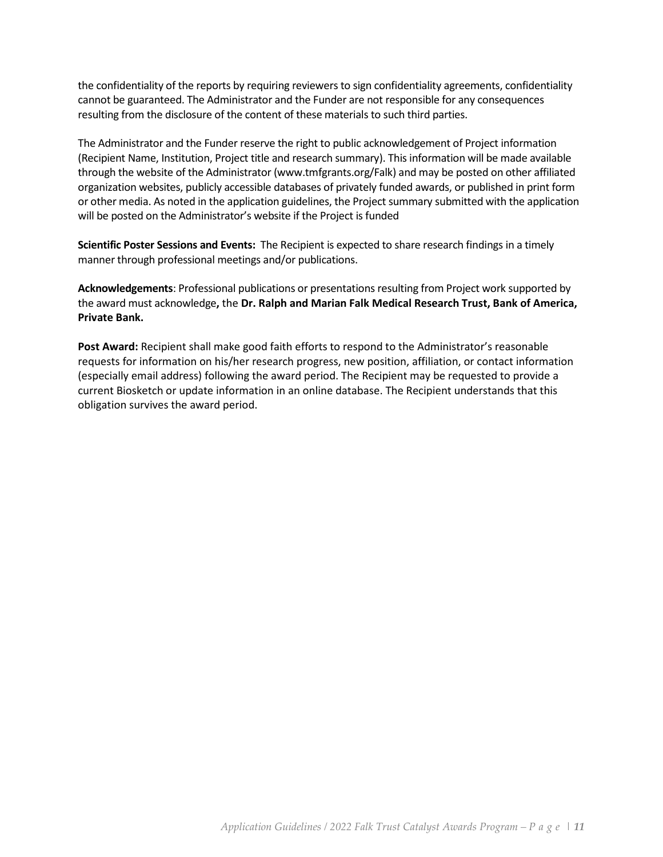the confidentiality of the reports by requiring reviewers to sign confidentiality agreements, confidentiality cannot be guaranteed. The Administrator and the Funder are not responsible for any consequences resulting from the disclosure of the content of these materials to such third parties.

The Administrator and the Funder reserve the right to public acknowledgement of Project information (Recipient Name, Institution, Project title and research summary). This information will be made available through the website of the Administrator (www.tmfgrants.org/Falk) and may be posted on other affiliated organization websites, publicly accessible databases of privately funded awards, or published in print form or other media. As noted in the application guidelines, the Project summary submitted with the application will be posted on the Administrator's website if the Project is funded

**Scientific Poster Sessions and Events:** The Recipient is expected to share research findings in a timely manner through professional meetings and/or publications.

**Acknowledgements**: Professional publications or presentations resulting from Project work supported by the award must acknowledge**,** the **Dr. Ralph and Marian Falk Medical Research Trust, Bank of America, Private Bank.**

**Post Award:** Recipient shall make good faith efforts to respond to the Administrator's reasonable requests for information on his/her research progress, new position, affiliation, or contact information (especially email address) following the award period. The Recipient may be requested to provide a current Biosketch or update information in an online database. The Recipient understands that this obligation survives the award period.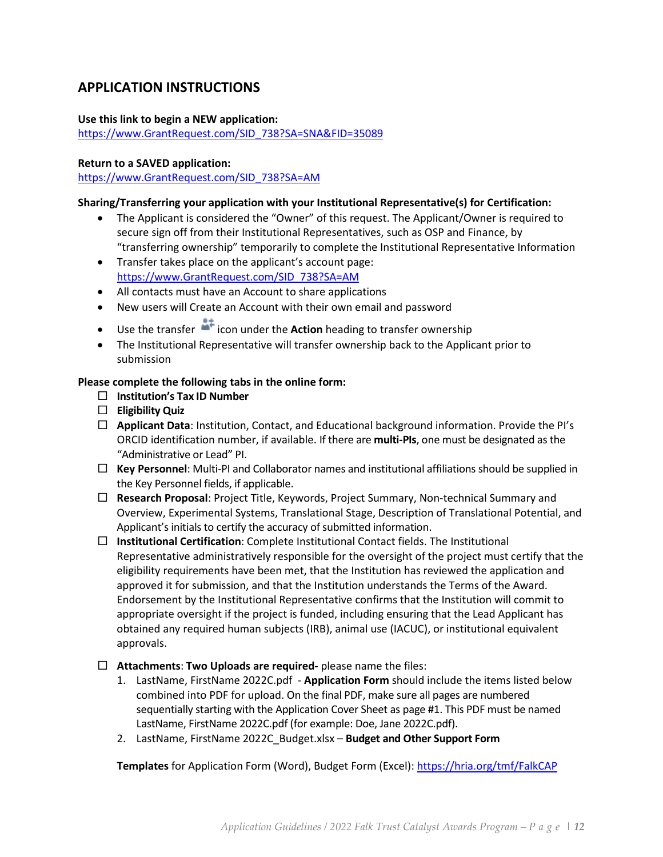# <span id="page-11-0"></span>**APPLICATION INSTRUCTIONS**

#### **Use this link to begin a NEW application:**

[https://www.GrantRequest.com/SID\\_738?SA=SNA&FID=35089](https://www.grantrequest.com/SID_738?SA=SNA&FID=35089)

#### **Return to a SAVED application:**

[https://www.GrantRequest.com/SID\\_738?SA=AM](https://www.grantrequest.com/SID_738?SA=AM)

#### **Sharing/Transferring your application with your Institutional Representative(s) for Certification:**

- The Applicant is considered the "Owner" of this request. The Applicant/Owner is required to secure sign off from their Institutional Representatives, such as OSP and Finance, by "transferring ownership" temporarily to complete the Institutional Representative Information
- Transfer takes place on the applicant's account page: [https://www.GrantRequest.com/SID\\_738?SA=AM](https://www.grantrequest.com/SID_738?SA=AM)
- All contacts must have an Account to share applications
- New users will Create an Account with their own email and password
- Use the transfer **in the under the Action** heading to transfer ownership
- The Institutional Representative will transfer ownership back to the Applicant prior to submission

### **Please complete the following tabs in the online form:**

- **Institution's Tax ID Number**
- **Eligibility Quiz**
- **Applicant Data**: Institution, Contact, and Educational background information. Provide the PI's ORCID identification number, if available. If there are **multi-PIs**, one must be designated as the "Administrative or Lead" PI.
- **Key Personnel**: Multi-PI and Collaborator names and institutional affiliations should be supplied in the Key Personnel fields, if applicable.
- **Research Proposal**: Project Title, Keywords, Project Summary, Non-technical Summary and Overview, Experimental Systems, Translational Stage, Description of Translational Potential, and Applicant's initials to certify the accuracy of submitted information.
- **Institutional Certification**: Complete Institutional Contact fields. The Institutional Representative administratively responsible for the oversight of the project must certify that the eligibility requirements have been met, that the Institution has reviewed the application and approved it for submission, and that the Institution understands the Terms of the Award. Endorsement by the Institutional Representative confirms that the Institution will commit to appropriate oversight if the project is funded, including ensuring that the Lead Applicant has obtained any required human subjects (IRB), animal use (IACUC), or institutional equivalent approvals.
- **Attachments**: **Two Uploads are required-** please name the files:
	- 1. LastName, FirstName 2022C.pdf **Application Form** should include the items listed below combined into PDF for upload. On the final PDF, make sure all pages are numbered sequentially starting with the Application Cover Sheet as page #1. This PDF must be named LastName, FirstName 2022C.pdf (for example: Doe, Jane 2022C.pdf).
	- 2. LastName, FirstName 2022C\_Budget.xlsx **Budget and Other Support Form**

**Templates** for Application Form (Word), Budget Form (Excel): <https://hria.org/tmf/FalkCAP>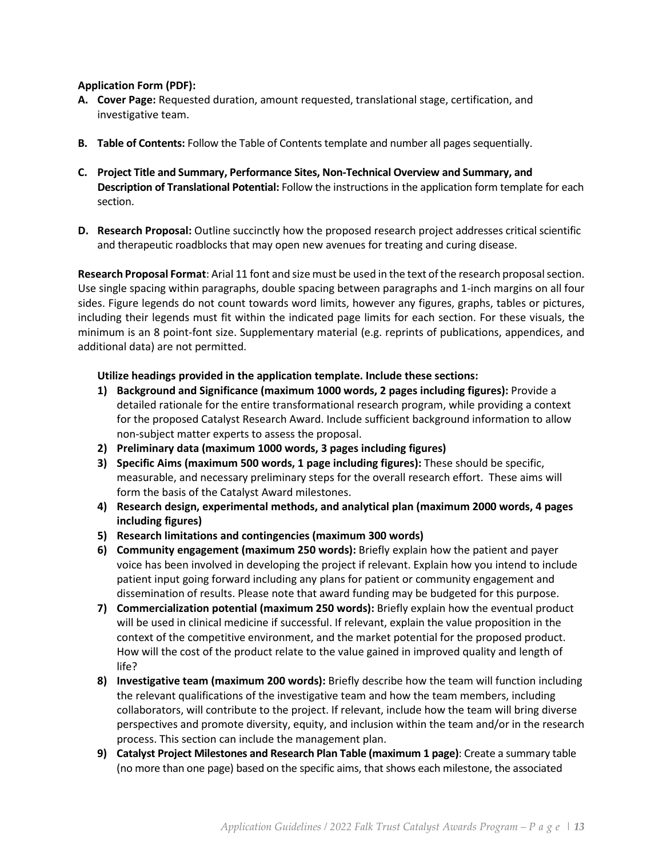#### **Application Form (PDF):**

- **A. Cover Page:** Requested duration, amount requested, translational stage, certification, and investigative team.
- **B. Table of Contents:** Follow the Table of Contents template and number all pages sequentially.
- **C. Project Title and Summary, Performance Sites, Non-Technical Overview and Summary, and Description of Translational Potential:** Follow the instructions in the application form template for each section.
- **D. Research Proposal:** Outline succinctly how the proposed research project addresses critical scientific and therapeutic roadblocks that may open new avenues for treating and curing disease.

**Research Proposal Format**: Arial 11 font and size must be used in the text of the research proposal section. Use single spacing within paragraphs, double spacing between paragraphs and 1-inch margins on all four sides. Figure legends do not count towards word limits, however any figures, graphs, tables or pictures, including their legends must fit within the indicated page limits for each section. For these visuals, the minimum is an 8 point-font size. Supplementary material (e.g. reprints of publications, appendices, and additional data) are not permitted.

### **Utilize headings provided in the application template. Include these sections:**

- **1) Background and Significance (maximum 1000 words, 2 pages including figures):** Provide a detailed rationale for the entire transformational research program, while providing a context for the proposed Catalyst Research Award. Include sufficient background information to allow non-subject matter experts to assess the proposal.
- **2) Preliminary data (maximum 1000 words, 3 pages including figures)**
- **3) Specific Aims (maximum 500 words, 1 page including figures):** These should be specific, measurable, and necessary preliminary steps for the overall research effort. These aims will form the basis of the Catalyst Award milestones.
- **4) Research design, experimental methods, and analytical plan (maximum 2000 words, 4 pages including figures)**
- **5) Research limitations and contingencies (maximum 300 words)**
- **6) Community engagement (maximum 250 words):** Briefly explain how the patient and payer voice has been involved in developing the project if relevant. Explain how you intend to include patient input going forward including any plans for patient or community engagement and dissemination of results. Please note that award funding may be budgeted for this purpose.
- **7) Commercialization potential (maximum 250 words):** Briefly explain how the eventual product will be used in clinical medicine if successful. If relevant, explain the value proposition in the context of the competitive environment, and the market potential for the proposed product. How will the cost of the product relate to the value gained in improved quality and length of life?
- **8) Investigative team (maximum 200 words):** Briefly describe how the team will function including the relevant qualifications of the investigative team and how the team members, including collaborators, will contribute to the project. If relevant, include how the team will bring diverse perspectives and promote diversity, equity, and inclusion within the team and/or in the research process. This section can include the management plan.
- **9) Catalyst Project Milestones and Research Plan Table (maximum 1 page)**: Create a summary table (no more than one page) based on the specific aims, that shows each milestone, the associated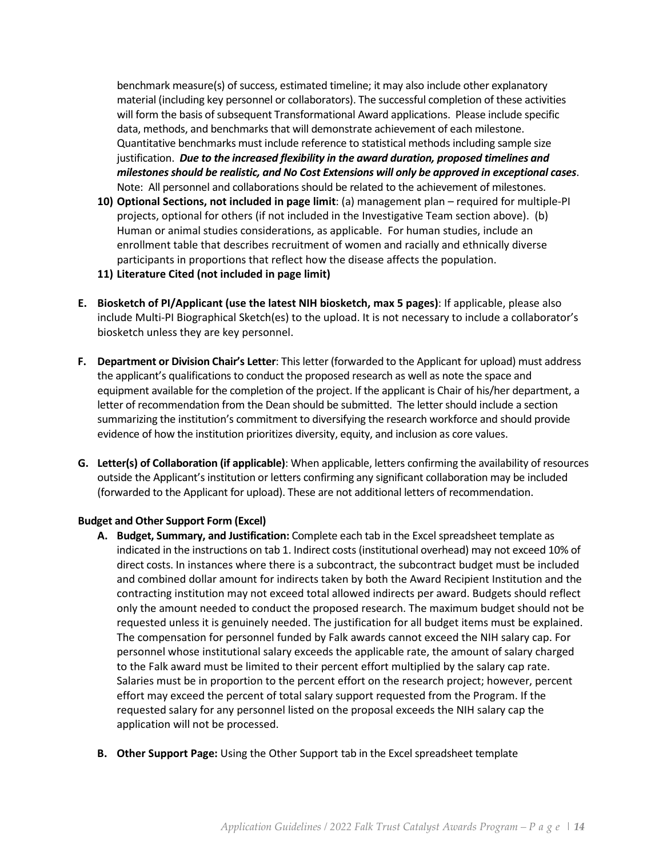benchmark measure(s) of success, estimated timeline; it may also include other explanatory material (including key personnel or collaborators). The successful completion of these activities will form the basis of subsequent Transformational Award applications. Please include specific data, methods, and benchmarks that will demonstrate achievement of each milestone. Quantitative benchmarks must include reference to statistical methods including sample size justification. *Due to the increased flexibility in the award duration, proposed timelines and milestones should be realistic, and No Cost Extensions will only be approved in exceptional cases*. Note: All personnel and collaborations should be related to the achievement of milestones.

- **10) Optional Sections, not included in page limit**: (a) management plan required for multiple-PI projects, optional for others (if not included in the Investigative Team section above). (b) Human or animal studies considerations, as applicable. For human studies, include an enrollment table that describes recruitment of women and racially and ethnically diverse participants in proportions that reflect how the disease affects the population.
- **11) Literature Cited (not included in page limit)**
- **E. Biosketch of PI/Applicant (use the latest NIH biosketch, max 5 pages)**: If applicable, please also include Multi-PI Biographical Sketch(es) to the upload. It is not necessary to include a collaborator's biosketch unless they are key personnel.
- **F. Department or Division Chair's Letter**: This letter (forwarded to the Applicant for upload) must address the applicant's qualifications to conduct the proposed research as well as note the space and equipment available for the completion of the project. If the applicant is Chair of his/her department, a letter of recommendation from the Dean should be submitted. The letter should include a section summarizing the institution's commitment to diversifying the research workforce and should provide evidence of how the institution prioritizes diversity, equity, and inclusion as core values.
- **G. Letter(s) of Collaboration (if applicable)**: When applicable, letters confirming the availability of resources outside the Applicant's institution or letters confirming any significant collaboration may be included (forwarded to the Applicant for upload). These are not additional letters of recommendation.

### **Budget and Other Support Form (Excel)**

- **A. Budget, Summary, and Justification:** Complete each tab in the Excel spreadsheet template as indicated in the instructions on tab 1. Indirect costs (institutional overhead) may not exceed 10% of direct costs. In instances where there is a subcontract, the subcontract budget must be included and combined dollar amount for indirects taken by both the Award Recipient Institution and the contracting institution may not exceed total allowed indirects per award. Budgets should reflect only the amount needed to conduct the proposed research. The maximum budget should not be requested unless it is genuinely needed. The justification for all budget items must be explained. The compensation for personnel funded by Falk awards cannot exceed the NIH salary cap. For personnel whose institutional salary exceeds the applicable rate, the amount of salary charged to the Falk award must be limited to their percent effort multiplied by the salary cap rate. Salaries must be in proportion to the percent effort on the research project; however, percent effort may exceed the percent of total salary support requested from the Program. If the requested salary for any personnel listed on the proposal exceeds the NIH salary cap the application will not be processed.
- **B. Other Support Page:** Using the Other Support tab in the Excel spreadsheet template